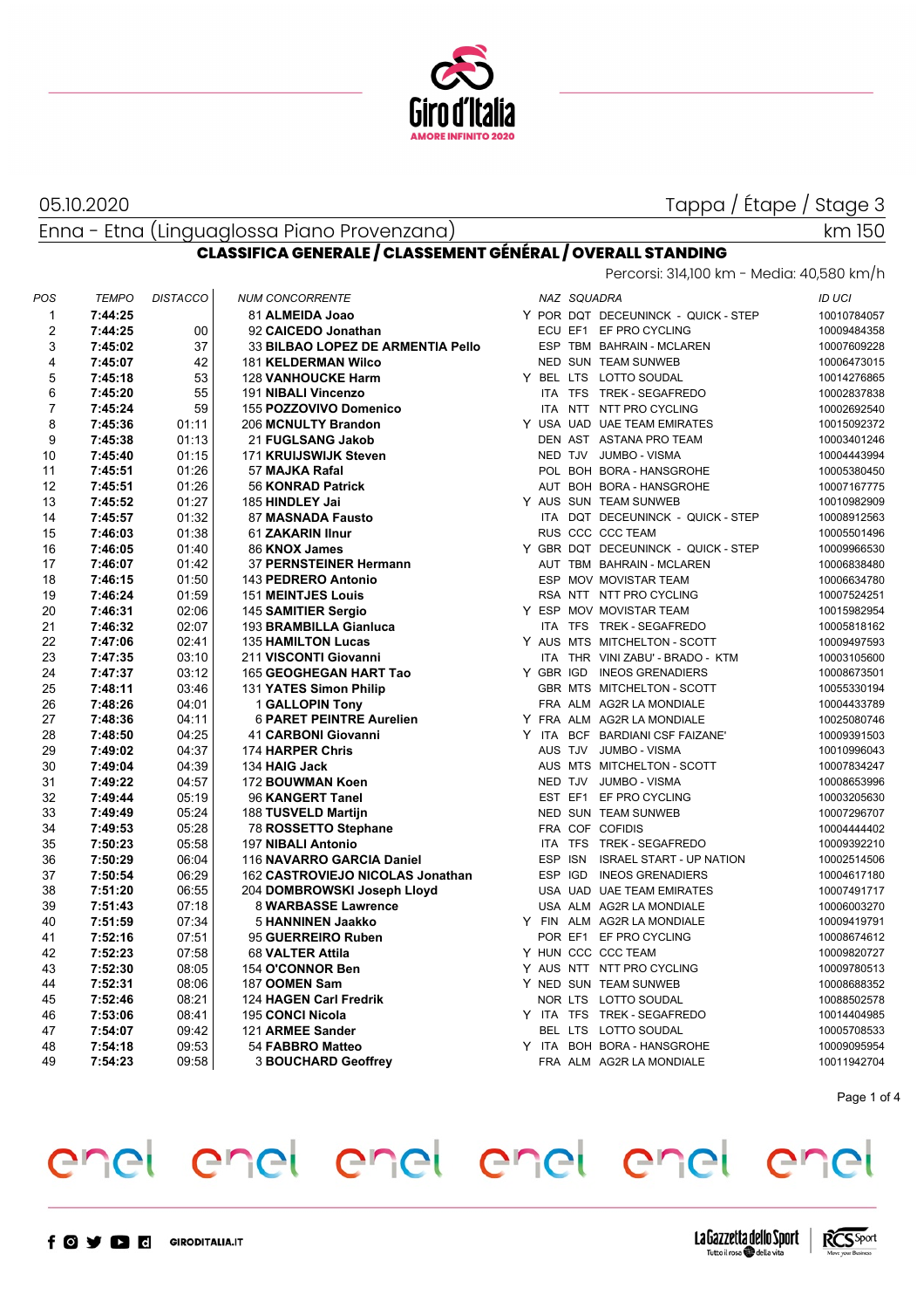

05.10.2020

Tappa / Étape / Stage 3

Enna - Etna (Linguaglossa Piano Provenzana)

## km 150

#### **CLASSIFICA GENERALE / CLASSEMENT GÉNÉRAL / OVERALL STANDING** Percorsi: 314,100 km - Media: 40,580 km/h

| POS                     | <b>TEMPO</b> | <b>DISTACCO</b> | <b>NUM CONCORRENTE</b>            |  | NAZ SQUADRA |                                     | <b>ID UCI</b> |
|-------------------------|--------------|-----------------|-----------------------------------|--|-------------|-------------------------------------|---------------|
| 1                       | 7:44:25      |                 | 81 ALMEIDA Joao                   |  |             | Y POR DQT DECEUNINCK - QUICK - STEP | 10010784057   |
| $\overline{\mathbf{c}}$ | 7:44:25      | 00              | 92 CAICEDO Jonathan               |  |             | ECU EF1 EF PRO CYCLING              | 10009484358   |
| 3                       | 7:45:02      | 37              | 33 BILBAO LOPEZ DE ARMENTIA Pello |  |             | ESP TBM BAHRAIN - MCLAREN           | 10007609228   |
| 4                       | 7:45:07      | 42              | 181 KELDERMAN Wilco               |  |             | NED SUN TEAM SUNWEB                 | 10006473015   |
| 5                       | 7:45:18      | 53              | <b>128 VANHOUCKE Harm</b>         |  |             | Y BEL LTS LOTTO SOUDAL              | 10014276865   |
| 6                       | 7:45:20      | 55              | 191 NIBALI Vincenzo               |  |             | ITA TFS TREK - SEGAFREDO            | 10002837838   |
| $\overline{7}$          | 7:45:24      | 59              | 155 POZZOVIVO Domenico            |  |             | ITA NTT NTT PRO CYCLING             | 10002692540   |
| 8                       | 7:45:36      | 01:11           | 206 MCNULTY Brandon               |  |             | Y USA UAD UAE TEAM EMIRATES         | 10015092372   |
| 9                       | 7:45:38      | 01:13           | 21 FUGLSANG Jakob                 |  |             | DEN AST ASTANA PRO TEAM             | 10003401246   |
| 10                      | 7:45:40      | 01:15           | 171 KRUIJSWIJK Steven             |  |             | NED TJV JUMBO - VISMA               | 10004443994   |
| 11                      | 7:45:51      | 01:26           | 57 MAJKA Rafal                    |  |             | POL BOH BORA - HANSGROHE            | 10005380450   |
| 12                      | 7:45:51      | 01:26           | 56 KONRAD Patrick                 |  |             | AUT BOH BORA - HANSGROHE            | 10007167775   |
| 13                      | 7:45:52      | 01:27           | 185 HINDLEY Jai                   |  |             | Y AUS SUN TEAM SUNWEB               | 10010982909   |
| 14                      | 7:45:57      | 01:32           | 87 MASNADA Fausto                 |  |             | ITA DQT DECEUNINCK - QUICK - STEP   | 10008912563   |
| 15                      | 7:46:03      | 01:38           | 61 ZAKARIN IInur                  |  |             | RUS CCC CCC TEAM                    | 10005501496   |
| 16                      | 7:46:05      | 01:40           | 86 KNOX James                     |  |             | Y GBR DQT DECEUNINCK - QUICK - STEP | 10009966530   |
| 17                      | 7:46:07      | 01:42           | 37 PERNSTEINER Hermann            |  |             | AUT TBM BAHRAIN - MCLAREN           | 10006838480   |
| 18                      | 7:46:15      | 01:50           | 143 PEDRERO Antonio               |  |             | ESP MOV MOVISTAR TEAM               | 10006634780   |
| 19                      | 7:46:24      | 01:59           | <b>151 MEINTJES Louis</b>         |  |             | RSA NTT NTT PRO CYCLING             | 10007524251   |
| 20                      | 7:46:31      | 02:06           | 145 SAMITIER Sergio               |  |             | Y ESP MOV MOVISTAR TEAM             | 10015982954   |
| 21                      | 7:46:32      | 02:07           | 193 BRAMBILLA Gianluca            |  |             | ITA TFS TREK - SEGAFREDO            | 10005818162   |
| 22                      | 7:47:06      | 02:41           | <b>135 HAMILTON Lucas</b>         |  |             | Y AUS MTS MITCHELTON - SCOTT        | 10009497593   |
| 23                      | 7:47:35      | 03:10           | 211 VISCONTI Giovanni             |  |             | ITA THR VINI ZABU' - BRADO - KTM    | 10003105600   |
| 24                      | 7:47:37      | 03:12           | 165 GEOGHEGAN HART Tao            |  |             | Y GBR IGD INEOS GRENADIERS          | 10008673501   |
| 25                      | 7:48:11      | 03:46           | 131 YATES Simon Philip            |  |             | GBR MTS MITCHELTON - SCOTT          | 10055330194   |
| 26                      | 7:48:26      | 04:01           | 1 GALLOPIN Tony                   |  |             | FRA ALM AG2R LA MONDIALE            | 10004433789   |
| 27                      | 7:48:36      | 04:11           | <b>6 PARET PEINTRE Aurelien</b>   |  |             | Y FRA ALM AG2R LA MONDIALE          | 10025080746   |
| 28                      | 7:48:50      | 04:25           | 41 CARBONI Giovanni               |  |             | Y ITA BCF BARDIANI CSF FAIZANE'     | 10009391503   |
| 29                      | 7:49:02      | 04:37           | 174 HARPER Chris                  |  |             | AUS TJV JUMBO - VISMA               | 10010996043   |
| 30                      | 7:49:04      | 04:39           | 134 HAIG Jack                     |  |             | AUS MTS MITCHELTON - SCOTT          | 10007834247   |
| 31                      | 7:49:22      | 04:57           | 172 BOUWMAN Koen                  |  |             | NED TJV JUMBO - VISMA               | 10008653996   |
| 32                      | 7:49:44      | 05:19           | 96 KANGERT Tanel                  |  |             | EST EF1 EF PRO CYCLING              | 10003205630   |
| 33                      | 7:49:49      | 05:24           | 188 TUSVELD Martijn               |  |             | NED SUN TEAM SUNWEB                 | 10007296707   |
| 34                      | 7:49:53      | 05:28           | 78 ROSSETTO Stephane              |  |             | FRA COF COFIDIS                     | 10004444402   |
| 35                      | 7:50:23      | 05:58           | 197 NIBALI Antonio                |  |             | ITA TFS TREK - SEGAFREDO            | 10009392210   |
| 36                      | 7:50:29      | 06:04           | 116 NAVARRO GARCIA Daniel         |  | ESP ISN     | <b>ISRAEL START - UP NATION</b>     | 10002514506   |
| 37                      | 7:50:54      | 06:29           | 162 CASTROVIEJO NICOLAS Jonathan  |  | ESP IGD     | <b>INEOS GRENADIERS</b>             | 10004617180   |
| 38                      | 7:51:20      | 06:55           | 204 DOMBROWSKI Joseph Lloyd       |  |             | USA UAD UAE TEAM EMIRATES           | 10007491717   |
| 39                      | 7:51:43      | 07:18           | 8 WARBASSE Lawrence               |  |             | USA ALM AG2R LA MONDIALE            | 10006003270   |
| 40                      | 7:51:59      | 07:34           | <b>5 HANNINEN Jaakko</b>          |  |             | Y FIN ALM AG2R LA MONDIALE          | 10009419791   |
| 41                      | 7:52:16      | 07:51           | 95 GUERREIRO Ruben                |  |             | POR EF1 EF PRO CYCLING              | 10008674612   |
| 42                      | 7:52:23      | 07:58           | 68 VALTER Attila                  |  |             | Y HUN CCC CCC TEAM                  | 10009820727   |
| 43                      | 7:52:30      | 08:05           | 154 O'CONNOR Ben                  |  |             | Y AUS NTT NTT PRO CYCLING           | 10009780513   |
| 44                      | 7:52:31      | 08:06           | 187 OOMEN Sam                     |  |             | Y NED SUN TEAM SUNWEB               | 10008688352   |
| 45                      | 7:52:46      | 08:21           | 124 HAGEN Carl Fredrik            |  |             | NOR LTS LOTTO SOUDAL                | 10088502578   |
| 46                      | 7:53:06      | 08:41           | 195 CONCI Nicola                  |  |             | Y ITA TFS TREK-SEGAFREDO            | 10014404985   |
| 47                      | 7:54:07      | 09.42           | 121 ARMEE Sander                  |  |             | BEL LTS LOTTO SOUDAL                | 10005708533   |
| 48                      | 7:54:18      | 09:53           | 54 FABBRO Matteo                  |  |             | Y ITA BOH BORA - HANSGROHE          | 10009095954   |
| 49                      | 7:54:23      | 09:58           | <b>3 BOUCHARD Geoffrey</b>        |  |             | FRA ALM AG2R LA MONDIALE            | 10011942704   |
|                         |              |                 |                                   |  |             |                                     |               |

Page 1 of 4



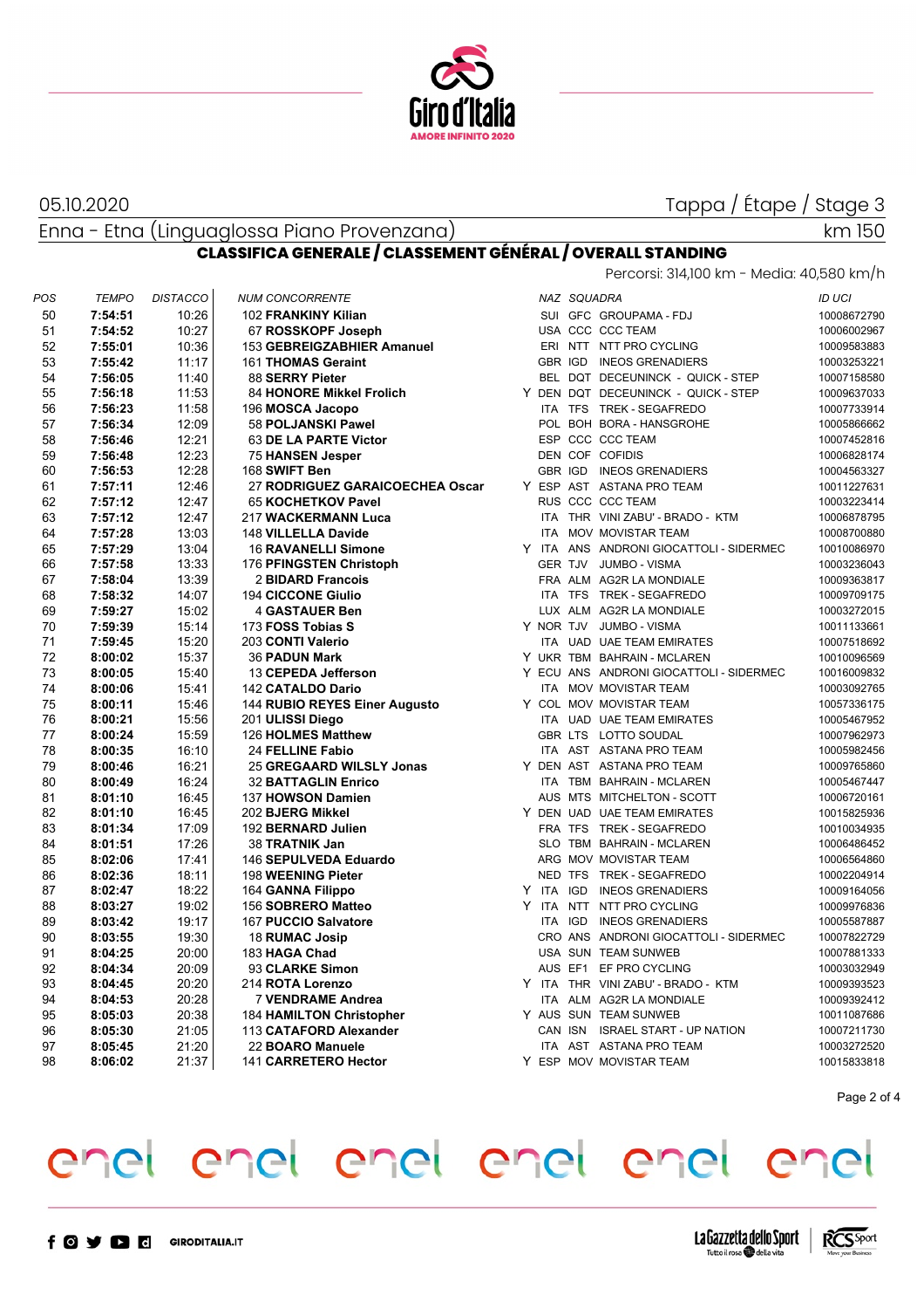

#### 05.10.2020

### Tappa / Étape / Stage 3

Enna - Etna (Linguaglossa Piano Provenzana)

km 150

### **CLASSIFICA GENERALE / CLASSEMENT GÉNÉRAL / OVERALL STANDING**

Percorsi: 314,100 km - Media: 40,580 km/h

| POS | <b>TEMPO</b> | <b>DISTACCO</b> | <b>NUM CONCORRENTE</b>          |  | NAZ SQUADRA |                                         | <b>ID UCI</b> |
|-----|--------------|-----------------|---------------------------------|--|-------------|-----------------------------------------|---------------|
| 50  | 7:54:51      | 10:26           | 102 FRANKINY Kilian             |  |             | SUI GFC GROUPAMA - FDJ                  | 10008672790   |
| 51  | 7:54:52      | 10:27           | 67 ROSSKOPF Joseph              |  |             | USA CCC CCC TEAM                        | 10006002967   |
| 52  | 7:55:01      | 10:36           | 153 GEBREIGZABHIER Amanuel      |  |             | ERI NTT NTT PRO CYCLING                 | 10009583883   |
| 53  | 7:55:42      | 11:17           | 161 THOMAS Geraint              |  |             | GBR IGD INEOS GRENADIERS                | 10003253221   |
| 54  | 7:56:05      | 11:40           | 88 SERRY Pieter                 |  |             | BEL DQT DECEUNINCK - QUICK - STEP       | 10007158580   |
| 55  | 7:56:18      | 11:53           | 84 HONORE Mikkel Frolich        |  |             | Y DEN DQT DECEUNINCK - QUICK - STEP     | 10009637033   |
| 56  | 7:56:23      | 11:58           | 196 MOSCA Jacopo                |  |             | ITA TFS TREK - SEGAFREDO                | 10007733914   |
| 57  | 7:56:34      | 12:09           | 58 POLJANSKI Pawel              |  |             | POL BOH BORA - HANSGROHE                | 10005866662   |
| 58  | 7:56:46      | 12:21           | 63 DE LA PARTE Victor           |  |             | ESP CCC CCC TEAM                        | 10007452816   |
| 59  | 7:56:48      | 12:23           | 75 HANSEN Jesper                |  |             | DEN COF COFIDIS                         | 10006828174   |
| 60  | 7:56:53      | 12:28           | 168 SWIFT Ben                   |  | GBR IGD     | <b>INEOS GRENADIERS</b>                 | 10004563327   |
| 61  | 7:57:11      | 12:46           | 27 RODRIGUEZ GARAICOECHEA Oscar |  |             | Y ESP AST ASTANA PRO TEAM               | 10011227631   |
| 62  | 7:57:12      | 12:47           | 65 KOCHETKOV Pavel              |  |             | RUS CCC CCC TEAM                        | 10003223414   |
| 63  | 7:57:12      | 12:47           | 217 WACKERMANN Luca             |  |             | ITA THR VINI ZABU' - BRADO - KTM        | 10006878795   |
| 64  | 7:57:28      | 13:03           | 148 VILLELLA Davide             |  |             | ITA MOV MOVISTAR TEAM                   | 10008700880   |
| 65  | 7:57:29      | 13:04           | <b>16 RAVANELLI Simone</b>      |  |             | Y ITA ANS ANDRONI GIOCATTOLI - SIDERMEC | 10010086970   |
| 66  | 7:57:58      | 13:33           | 176 PFINGSTEN Christoph         |  |             | GER TJV JUMBO - VISMA                   | 10003236043   |
| 67  | 7:58:04      | 13:39           | 2 BIDARD Francois               |  |             | FRA ALM AG2R LA MONDIALE                | 10009363817   |
| 68  | 7:58:32      | 14:07           | <b>194 CICCONE Giulio</b>       |  |             | ITA TFS TREK - SEGAFREDO                | 10009709175   |
| 69  | 7:59:27      | 15:02           | <b>4 GASTAUER Ben</b>           |  |             | LUX ALM AG2R LA MONDIALE                | 10003272015   |
| 70  | 7:59:39      | 15:14           | 173 FOSS Tobias S               |  |             | Y NOR TJV JUMBO - VISMA                 | 10011133661   |
| 71  | 7:59:45      | 15:20           | 203 CONTI Valerio               |  |             | ITA UAD UAE TEAM EMIRATES               | 10007518692   |
| 72  | 8:00:02      | 15:37           | <b>36 PADUN Mark</b>            |  |             | Y UKR TBM BAHRAIN - MCLAREN             | 10010096569   |
| 73  | 8:00:05      | 15:40           | 13 CEPEDA Jefferson             |  |             | Y ECU ANS ANDRONI GIOCATTOLI - SIDERMEC | 10016009832   |
| 74  | 8:00:06      | 15:41           | 142 CATALDO Dario               |  |             | ITA MOV MOVISTAR TEAM                   | 10003092765   |
| 75  | 8:00:11      | 15:46           | 144 RUBIO REYES Einer Augusto   |  |             | Y COL MOV MOVISTAR TEAM                 | 10057336175   |
| 76  | 8:00:21      | 15:56           | 201 ULISSI Diego                |  |             | ITA UAD UAE TEAM EMIRATES               | 10005467952   |
| 77  | 8:00:24      | 15:59           | 126 HOLMES Matthew              |  |             | GBR LTS LOTTO SOUDAL                    | 10007962973   |
| 78  | 8:00:35      | 16:10           | 24 FELLINE Fabio                |  |             | ITA AST ASTANA PRO TEAM                 | 10005982456   |
| 79  | 8:00:46      | 16:21           | 25 GREGAARD WILSLY Jonas        |  |             | Y DEN AST ASTANA PRO TEAM               | 10009765860   |
| 80  | 8:00:49      | 16:24           | <b>32 BATTAGLIN Enrico</b>      |  |             | ITA TBM BAHRAIN - MCLAREN               | 10005467447   |
| 81  | 8:01:10      | 16:45           | 137 HOWSON Damien               |  |             | AUS MTS MITCHELTON - SCOTT              | 10006720161   |
| 82  | 8:01:10      | 16:45           | 202 BJERG Mikkel                |  |             | Y DEN UAD UAE TEAM EMIRATES             | 10015825936   |
| 83  | 8:01:34      | 17:09           | 192 BERNARD Julien              |  |             | FRA TFS TREK - SEGAFREDO                | 10010034935   |
| 84  | 8:01:51      | 17:26           | 38 TRATNIK Jan                  |  |             | SLO TBM BAHRAIN - MCLAREN               | 10006486452   |
| 85  | 8:02:06      | 17:41           | 146 SEPULVEDA Eduardo           |  |             | ARG MOV MOVISTAR TEAM                   | 10006564860   |
| 86  | 8:02:36      | 18:11           | 198 WEENING Pieter              |  |             | NED TFS TREK - SEGAFREDO                | 10002204914   |
| 87  | 8:02:47      | 18:22           | 164 GANNA Filippo               |  |             | Y ITA IGD INEOS GRENADIERS              | 10009164056   |
| 88  | 8:03:27      | 19:02           | 156 SOBRERO Matteo              |  |             | Y ITA NTT NTT PRO CYCLING               | 10009976836   |
| 89  | 8:03:42      | 19:17           | 167 PUCCIO Salvatore            |  | ITA IGD     | <b>INEOS GRENADIERS</b>                 | 10005587887   |
| 90  | 8:03:55      | 19:30           | 18 RUMAC Josip                  |  |             | CRO ANS ANDRONI GIOCATTOLI - SIDERMEC   | 10007822729   |
| 91  | 8:04:25      | 20:00           | 183 HAGA Chad                   |  |             | USA SUN TEAM SUNWEB                     | 10007881333   |
| 92  | 8:04:34      | 20:09           | 93 CLARKE Simon                 |  |             | AUS EF1 EF PRO CYCLING                  | 10003032949   |
| 93  | 8:04:45      | 20:20           | 214 ROTA Lorenzo                |  |             | Y ITA THR VINIZABU' - BRADO - KTM       | 10009393523   |
| 94  | 8:04:53      | 20:28           | 7 VENDRAME Andrea               |  |             | ITA ALM AG2R LA MONDIALE                | 10009392412   |
| 95  | 8:05:03      | 20:38           | <b>184 HAMILTON Christopher</b> |  |             | Y AUS SUN TEAM SUNWEB                   | 10011087686   |
| 96  | 8:05:30      | 21:05           | 113 CATAFORD Alexander          |  | CAN ISN     | <b>ISRAEL START - UP NATION</b>         | 10007211730   |
| 97  | 8:05:45      | 21:20           | 22 BOARO Manuele                |  |             | ITA AST ASTANA PRO TEAM                 | 10003272520   |
| 98  | 8:06:02      | 21:37           | 141 CARRETERO Hector            |  |             | Y ESP MOV MOVISTAR TEAM                 | 10015833818   |
|     |              |                 |                                 |  |             |                                         |               |

Page 2 of 4



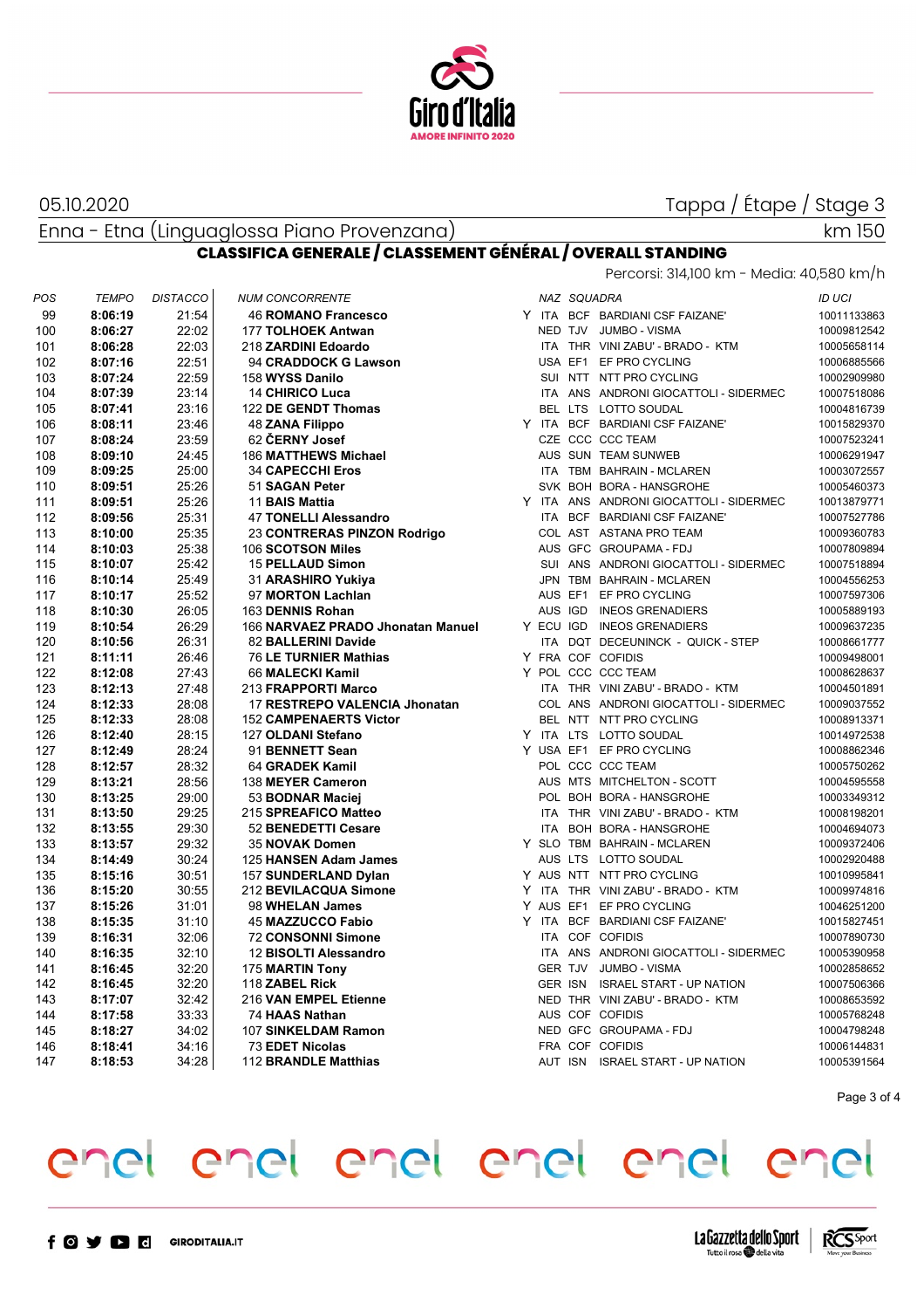

#### 05.10.2020

Tappa / Étape / Stage 3

Enna - Etna (Linguaglossa Piano Provenzana)

### km 150

### **CLASSIFICA GENERALE / CLASSEMENT GÉNÉRAL / OVERALL STANDING**

| POS | <b>TEMPO</b> | <b>DISTACCO</b> | <b>NUM CONCORRENTE</b>            |            | NAZ SQUADRA |                                         | ID UCI      |
|-----|--------------|-----------------|-----------------------------------|------------|-------------|-----------------------------------------|-------------|
| 99  | 8:06:19      | 21:54           | <b>46 ROMANO Francesco</b>        |            |             | Y ITA BCF BARDIANI CSF FAIZANE'         | 10011133863 |
| 100 | 8:06:27      | 22:02           | <b>177 TOLHOEK Antwan</b>         |            |             | NED TJV JUMBO - VISMA                   | 10009812542 |
| 101 | 8:06:28      | 22:03           | 218 ZARDINI Edoardo               |            |             | ITA THR VINI ZABU' - BRADO - KTM        | 10005658114 |
| 102 | 8:07:16      | 22:51           | 94 CRADDOCK G Lawson              |            |             | USA EF1 EF PRO CYCLING                  | 10006885566 |
| 103 | 8:07:24      | 22:59           | 158 WYSS Danilo                   |            |             | SUI NTT NTT PRO CYCLING                 | 10002909980 |
| 104 | 8:07:39      | 23:14           | <b>14 CHIRICO Luca</b>            |            |             | ITA ANS ANDRONI GIOCATTOLI - SIDERMEC   | 10007518086 |
| 105 | 8:07:41      | 23:16           | 122 DE GENDT Thomas               |            |             | BEL LTS LOTTO SOUDAL                    | 10004816739 |
| 106 | 8:08:11      | 23:46           | <b>48 ZANA Filippo</b>            |            |             | Y ITA BCF BARDIANI CSF FAIZANE'         | 10015829370 |
| 107 | 8:08:24      | 23:59           | 62 ČERNY Josef                    |            |             | CZE CCC CCC TEAM                        | 10007523241 |
| 108 | 8:09:10      | 24:45           | 186 MATTHEWS Michael              |            |             | AUS SUN TEAM SUNWEB                     | 10006291947 |
| 109 | 8:09:25      | 25:00           | <b>34 CAPECCHI Eros</b>           |            |             | ITA TBM BAHRAIN - MCLAREN               | 10003072557 |
| 110 | 8:09:51      | 25:26           | 51 SAGAN Peter                    |            |             | SVK BOH BORA - HANSGROHE                | 10005460373 |
| 111 | 8:09:51      | 25:26           | 11 BAIS Mattia                    |            |             | Y ITA ANS ANDRONI GIOCATTOLI - SIDERMEC | 10013879771 |
| 112 | 8:09:56      | 25:31           | <b>47 TONELLI Alessandro</b>      |            |             | ITA BCF BARDIANI CSF FAIZANE'           | 10007527786 |
| 113 | 8:10:00      | 25:35           | 23 CONTRERAS PINZON Rodrigo       |            |             | COL AST ASTANA PRO TEAM                 | 10009360783 |
| 114 | 8:10:03      | 25:38           | 106 SCOTSON Miles                 |            |             | AUS GFC GROUPAMA - FDJ                  | 10007809894 |
| 115 | 8:10:07      | 25:42           | <b>15 PELLAUD Simon</b>           |            |             | SUI ANS ANDRONI GIOCATTOLI - SIDERMEC   | 10007518894 |
| 116 | 8:10:14      | 25.49           | 31 ARASHIRO Yukiya                |            |             | JPN TBM BAHRAIN - MCLAREN               | 10004556253 |
| 117 | 8:10:17      | 25:52           | 97 MORTON Lachlan                 |            |             | AUS EF1 EF PRO CYCLING                  | 10007597306 |
| 118 | 8:10:30      | 26:05           | 163 DENNIS Rohan                  |            |             | AUS IGD INEOS GRENADIERS                | 10005889193 |
| 119 | 8:10:54      | 26:29           | 166 NARVAEZ PRADO Jhonatan Manuel |            |             | Y ECU IGD INEOS GRENADIERS              | 10009637235 |
| 120 | 8:10:56      | 26:31           | 82 BALLERINI Davide               | <b>ITA</b> |             | DQT DECEUNINCK - QUICK - STEP           | 10008661777 |
| 121 | 8:11:11      | 26:46           | <b>76 LE TURNIER Mathias</b>      |            |             | Y FRA COF COFIDIS                       | 10009498001 |
| 122 | 8:12:08      | 27:43           | 66 MALECKI Kamil                  |            |             | Y POL CCC CCC TEAM                      | 10008628637 |
| 123 | 8:12:13      | 27:48           | 213 FRAPPORTI Marco               |            |             | ITA THR VINI ZABU' - BRADO - KTM        | 10004501891 |
| 124 | 8:12:33      | 28:08           | 17 RESTREPO VALENCIA Jhonatan     |            |             | COL ANS ANDRONI GIOCATTOLI - SIDERMEC   | 10009037552 |
| 125 | 8:12:33      | 28:08           | <b>152 CAMPENAERTS Victor</b>     |            |             | BEL NTT NTT PRO CYCLING                 | 10008913371 |
| 126 | 8:12:40      | 28:15           | 127 OLDANI Stefano                |            |             | Y ITA LTS LOTTO SOUDAL                  | 10014972538 |
| 127 | 8:12:49      | 28:24           | 91 BENNETT Sean                   |            |             | Y USA EF1 EF PRO CYCLING                | 10008862346 |
| 128 | 8:12:57      | 28:32           | 64 GRADEK Kamil                   |            |             | POL CCC CCC TEAM                        | 10005750262 |
| 129 | 8:13:21      | 28:56           | 138 MEYER Cameron                 |            |             | AUS MTS MITCHELTON - SCOTT              | 10004595558 |
| 130 | 8:13:25      | 29:00           | 53 BODNAR Maciej                  |            |             | POL BOH BORA - HANSGROHE                | 10003349312 |
| 131 | 8:13:50      | 29:25           | 215 SPREAFICO Matteo              |            |             | ITA THR VINI ZABU' - BRADO - KTM        | 10008198201 |
| 132 | 8:13:55      | 29:30           | 52 BENEDETTI Cesare               |            |             | ITA BOH BORA - HANSGROHE                | 10004694073 |
| 133 | 8:13:57      | 29:32           | 35 NOVAK Domen                    |            |             | Y SLO TBM BAHRAIN - MCLAREN             | 10009372406 |
| 134 | 8:14:49      | 30:24           | 125 HANSEN Adam James             |            |             | AUS LTS LOTTO SOUDAL                    | 10002920488 |
| 135 | 8:15:16      | 30:51           | 157 SUNDERLAND Dylan              |            |             | Y AUS NTT NTT PRO CYCLING               | 10010995841 |
| 136 | 8:15:20      | 30:55           | 212 BEVILACQUA Simone             |            |             | Y ITA THR VINI ZABU' - BRADO - KTM      | 10009974816 |
| 137 | 8:15:26      | 31:01           | 98 WHELAN James                   |            |             | Y AUS EF1 EF PRO CYCLING                | 10046251200 |
| 138 | 8:15:35      | 31:10           | 45 MAZZUCCO Fabio                 |            |             | Y ITA BCF BARDIANI CSF FAIZANE'         | 10015827451 |
| 139 | 8:16:31      | 32:06           | <b>72 CONSONNI Simone</b>         |            |             | ITA COF COFIDIS                         | 10007890730 |
| 140 | 8:16:35      | 32:10           | 12 BISOLTI Alessandro             | <b>ITA</b> |             | ANS ANDRONI GIOCATTOLI - SIDERMEC       | 10005390958 |
| 141 | 8:16:45      | 32:20           | 175 MARTIN Tony                   |            | GER TJV     | <b>JUMBO - VISMA</b>                    | 10002858652 |
| 142 | 8:16:45      | 32:20           | 118 ZABEL Rick                    |            |             | GER ISN ISRAEL START - UP NATION        | 10007506366 |
| 143 | 8:17:07      | 32:42           | 216 VAN EMPEL Etienne             |            |             | NED THR VINI ZABU' - BRADO - KTM        | 10008653592 |
| 144 | 8:17:58      | 33:33           | 74 HAAS Nathan                    |            |             | AUS COF COFIDIS                         | 10005768248 |
| 145 | 8:18:27      | 34:02           | 107 SINKELDAM Ramon               |            |             | NED GFC GROUPAMA - FDJ                  | 10004798248 |
| 146 | 8:18:41      | 34:16           | <b>73 EDET Nicolas</b>            |            |             | FRA COF COFIDIS                         | 10006144831 |
| 147 | 8:18:53      | 34:28           | 112 BRANDLE Matthias              |            |             | AUT ISN ISRAEL START - UP NATION        | 10005391564 |
|     |              |                 |                                   |            |             |                                         |             |

Page 3 of 4